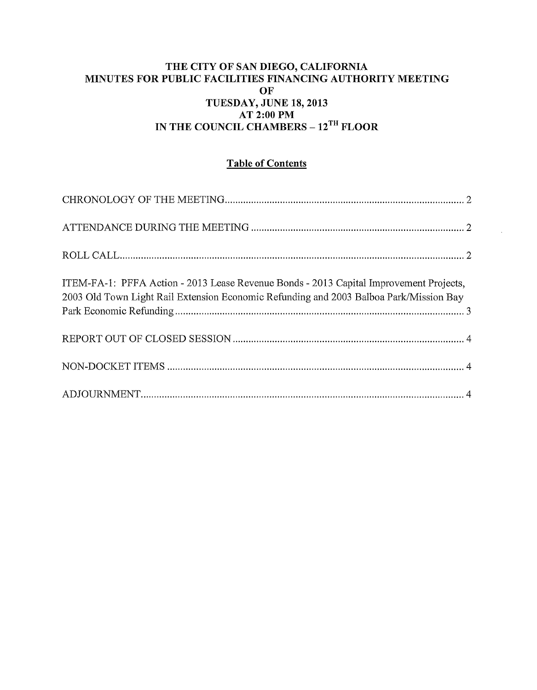#### THE CITY OF SAN DIEGO, CALIFORNIA MINUTES FOR PUBLIC FACILITIES FINANCING AUTHORITY MEETING OF TUESDAY, JUNE 18, 2013 AT 2:00PM IN THE COUNCIL CHAMBERS - 12<sup>TH</sup> FLOOR

# Table of Contents

| ITEM-FA-1: PFFA Action - 2013 Lease Revenue Bonds - 2013 Capital Improvement Projects,<br>2003 Old Town Light Rail Extension Economic Refunding and 2003 Balboa Park/Mission Bay |  |
|----------------------------------------------------------------------------------------------------------------------------------------------------------------------------------|--|
|                                                                                                                                                                                  |  |
|                                                                                                                                                                                  |  |
|                                                                                                                                                                                  |  |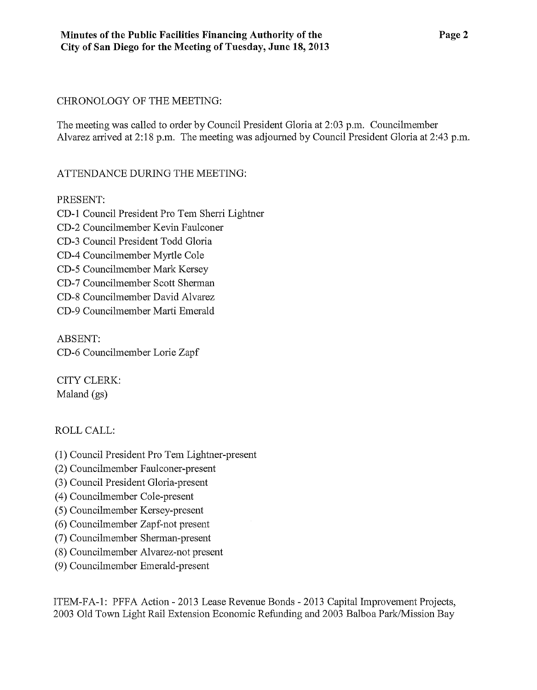### CHRONOLOGY OF THE MEETING:

The meeting was called to order by Council President Gloria at 2:03 p.m. Councilmember Alvarez arrived at 2:18 p.m. The meeting was adjoumed by Council President Gloria at 2:43 p.m.

## ATTENDANCE DURING THE MEETING:

### PRESENT:

CD-1 Council President Pro Tem Sherri Lightner CD-2 Councilmember Kevin Faulconer CD-3 Council President Todd Gloria CD-4 Councilmember Myrtle Cole CD-5 Councilmember Mark Kersey CD-7 Councilmember Scott Sherman CD-8 Councilmember David Alvarez CD-9 Councilmember Marti Emerald

ABSENT: CD-6 Councilmember Lorie Zapf

CITY CLERK: Maland (gs)

## ROLLCALL:

- (1) Council President Pro Tem Lightner-present
- (2) Councilmember Faulconer-present
- (3) Council President Gloria-present
- ( 4) Councilmember Cole-present
- (5) Councilmember Kersey-present
- (6) Councilmember Zapf-not present
- (7) Councilmember Sherman-present
- (8) Councilmember Alvarez-not present
- (9) Councilmember Emerald-present

ITEM-FA-1: PFFA Action- 2013 Lease Revenue Bonds- 2013 Capital Improvement Projects, 2003 Old Town Light Rail Extension Economic Refunding and 2003 Balboa Park/Mission Bay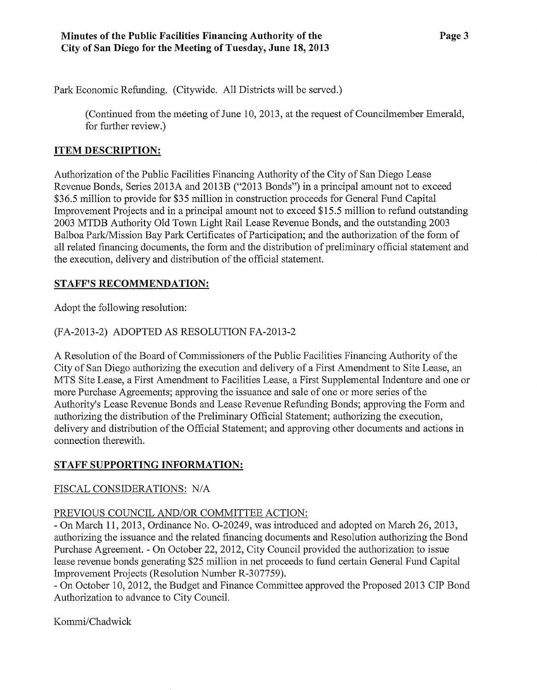Park Economic Refunding. (Citywide. All Districts will be served.)

(Continued from the meeting of June 10, 2013, at the request of Councilmember Emerald, for further review.)

## **ITEM DESCRIPTION:**

Authorization of the Public Facilities Financing Authority of the City of San Diego Lease Revenue Bonds, Series 2013A and 2013B ("2013 Bonds") in a principal amount not to exceed \$36.5 million to provide for \$35 million in construction proceeds for General Fund Capital Improvement Projects and in a principal amount not to exceed \$15.5 million to refund outstanding 2003 MTDB Authority Old Town Light Rail Lease Revenue Bonds, and the outstanding 2003 Balboa Park/Mission Bay Park Certificates of Participation; and the authorization of the form of all related financing documents, the form and the distribution of preliminary official statement and the execution, delivery and distribution of the official statement.

### **STAFF'S RECOMMENDATION:**

Adopt the following resolution:

## (FA-2013-2) ADOPTED AS RESOLUTION FA-2013-2

A Resolution of the Board of Commissioners of the Public Facilities Financing Authority of the City of San Diego authorizing the execution and delivery of a First Amendment to Site Lease, an MTS Site Lease, a First Amendment to Facilities Lease, a First Supplemental Indenture and one or more Purchase Agreements; approving the issuance and sale of one or more series of the Authority's Lease Revenue Bonds and Lease Revenue Refunding Bonds; approving the Form and authorizing the distribution of the Preliminary Official Statement; authorizing the execution, delivery and distribution of the Official Statement; and approving other documents and actions in connection therewith.

#### **STAFF SUPPORTING INFORMATION:**

#### FISCAL CONSIDERATIONS: N/A

#### PREVIOUS COUNCIL AND/OR COMMITTEE ACTION:

-On March 11, 2013, Ordinance No. 0-20249, was introduced and adopted on March 26, 2013, authorizing the issuance and the related financing documents and Resolution authorizing the Bond Purchase Agreement. - On October 22, 2012, City Council provided the authorization to issue lease revenue bonds generating \$25 million in net proceeds to fund certain General Fund Capital Improvement Projects (Resolution Number R-307759).

-On October 10, 2012, the Budget and Finance Committee approved the Proposed 2013 CIP Bond Authorization to advance to City Council.

Kommi/Chadwick